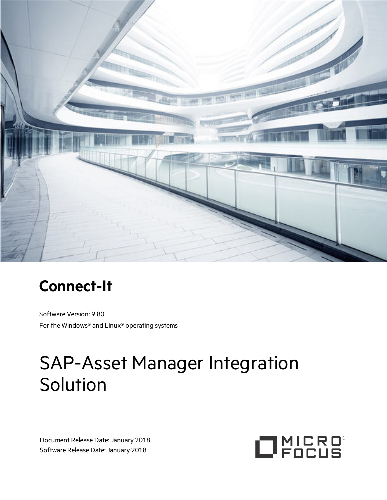

# **Connect-It**

Software Version: 9.80 For the Windows® and Linux® operating systems

# SAP-Asset Manager Integration **Solution**

Document Release Date: January 2018 Software Release Date: January 2018

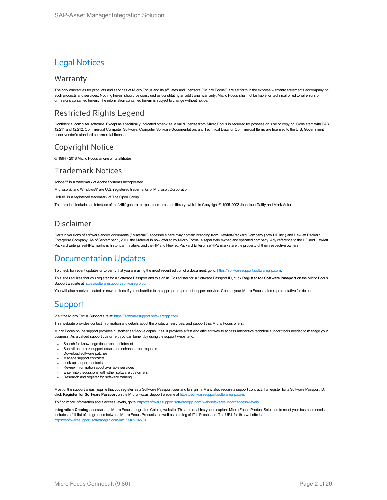#### Legal Notices

#### **Warranty**

The only warranties for products and services of Micro Focus and its affiliates and licensors ("Micro Focus") are set forth in the express warranty statements accompanying such products and services. Nothing herein should be construed as constituting an additional warranty. Micro Focus shall not be liable for technical or editorial errors or omissions contained herein. The information contained herein is subject to change without notice.

#### Restricted Rights Legend

Confidential computer software. Except as specifically indicated otherwise, a valid license from Micro Focus is required for possession, use or copying. Consistent with FAR 12.211 and 12.212, Commercial Computer Software, Computer Software Documentation, and Technical Data for Commercial Items are licensed to the U.S. Government under vendor's standard commercial license.

#### Copyright Notice

© 1994 - 2018 Micro Focus or one of its affiliates.

#### Trademark Notices

Adobe™ is a trademark of Adobe Systems Incorporated.

Microsoft® and Windows® are U.S. registered trademarks of Microsoft Corporation.

UNIX® is a registered trademark of The Open Group.

This product includes an interface of the 'zlib' general purpose compression library, which is Copyright © 1995-2002 Jean-loup Gailly and Mark Adler.

#### Disclaimer

Certain versions of software and/or documents ("Material") accessible here may contain branding from Hewlett-Packard Company (now HP Inc.) and Hewlett Packard Enterprise Company. As of September 1, 2017, the Material is now offered by Micro Focus, a separately owned and operated company. Any reference to the HP and Hewlett Packard Enterprise/HPE marks is historical in nature, and the HP and Hewlett Packard Enterprise/HPE marks are the property of their respective owners.

#### Documentation Updates

To check for recent updates or to verify that you are using the most recent edition of a document, go to:  [https://softwaresupport.softwaregrp.com.](https://softwaresupport.softwaregrp.com/)

This site requires that you register for a Software Passport and to sign in. To register for a Software Passport ID, click **Register for Software Passport** on the Micro Focus Support website at [https://softwaresupport.softwaregrp.com.](https://softwaresupport.softwaregrp.com/)

You will also receive updated or new editions if you subscribe to the appropriate product support service. Contact your Micro Focus sales representative for details.

### **Support**

Visit the Micro Focus Support site at: [https://softwaresupport.softwaregrp.com](https://softwaresupport.softwaregrp.com/).

This website provides contact information and details about the products, services, and support that Micro Focus offers.

Micro Focus online support provides customer self-solve capabilities. It provides a fast and efficient way to access interactive technical support tools needed to manage your business. As a valued support customer, you can benefit by using the support website to:

- Search for knowledge documents of interest
- Submit and track support cases and enhancement requests
- Download software patches
- Manage support contracts
- Look up support contacts
- Review information about available services
- Enter into discussions with other software customers
- Research and register for software training

Most of the support areas require that you register as a Software Passport user and to sign in. Many also require a support contract. To register for a Software Passport ID, click **Register for Software Passport** on the Micro Focus Support website at [https://softwaresupport.softwaregrp.com](https://softwaresupport.softwaregrp.com/).

To find more information about access levels, go to: [https://softwaresupport.softwaregrp.com/web/softwaresupport/access-levels.](https://softwaresupport.softwaregrp.com/web/softwaresupport/access-levels)

**Integration Catalog** accesses the Micro Focus Integration Catalog website. This site enables you to explore Micro Focus Product Solutions to meet your business needs, includes a full list of Integrations between Micro Focus Products, as well as a listing of ITIL Processes. The URL for this website is [https://softwaresupport.softwaregrp.com/km/KM01702731.](https://softwaresupport.softwaregrp.com/km/KM01702731)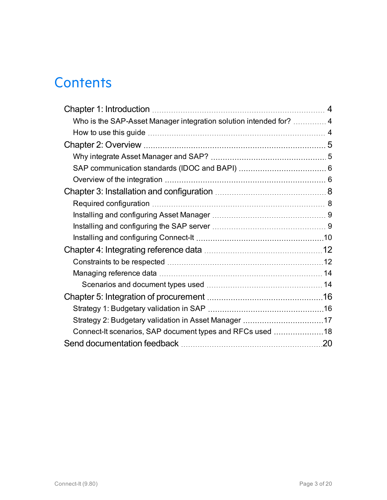# **Contents**

| Who is the SAP-Asset Manager integration solution intended for?  4 |  |
|--------------------------------------------------------------------|--|
|                                                                    |  |
|                                                                    |  |
|                                                                    |  |
|                                                                    |  |
|                                                                    |  |
|                                                                    |  |
|                                                                    |  |
|                                                                    |  |
|                                                                    |  |
|                                                                    |  |
|                                                                    |  |
|                                                                    |  |
|                                                                    |  |
|                                                                    |  |
|                                                                    |  |
|                                                                    |  |
|                                                                    |  |
| Connect-It scenarios, SAP document types and RFCs used 18          |  |
|                                                                    |  |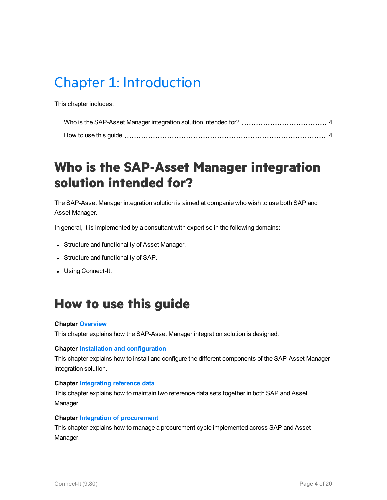# <span id="page-3-0"></span>Chapter 1: Introduction

This chapter includes:

### <span id="page-3-1"></span>**Who is the SAP-Asset Manager integration solution intended for?**

The SAP-Asset Manager integration solution is aimed at companie who wish to use both SAP and Asset Manager.

In general, it is implemented by a consultant with expertise in the following domains:

- Structure and functionality of Asset Manager.
- Structure and functionality of SAP.
- Using Connect-It.

### <span id="page-3-2"></span>**How to use this guide**

#### **Chapter [Overview](#page-4-0)**

This chapter explains how the SAP-Asset Manager integration solution is designed.

#### **Chapter Installation and [configuration](#page-7-0)**

This chapter explains how to install and configure the different components of the SAP-Asset Manager integration solution.

#### **Chapter [Integrating](#page-11-0) reference data**

This chapter explains how to maintain two reference data sets together in both SAP and Asset Manager.

#### **Chapter Integration of [procurement](#page-15-0)**

This chapter explains how to manage a procurement cycle implemented across SAP and Asset Manager.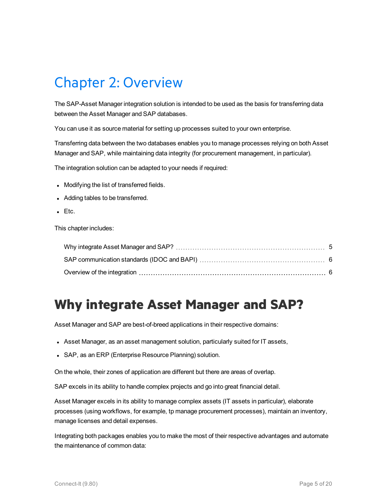# <span id="page-4-0"></span>Chapter 2: Overview

The SAP-Asset Manager integration solution is intended to be used as the basis for transferring data between the Asset Manager and SAP databases.

You can use it as source material for setting up processes suited to your own enterprise.

Transferring data between the two databases enables you to manage processes relying on both Asset Manager and SAP, while maintaining data integrity (for procurement management, in particular).

The integration solution can be adapted to your needs if required:

- Modifying the list of transferred fields.
- Adding tables to be transferred.
- $\blacksquare$  Etc.

This chapter includes:

### <span id="page-4-1"></span>**Why integrate Asset Manager and SAP?**

Asset Manager and SAP are best-of-breed applications in their respective domains:

- Asset Manager, as an asset management solution, particularly suited for IT assets,
- SAP, as an ERP (Enterprise Resource Planning) solution.

On the whole, their zones of application are different but there are areas of overlap.

SAP excels in its ability to handle complex projects and go into great financial detail.

Asset Manager excels in its ability to manage complex assets (IT assets in particular), elaborate processes (using workflows, for example, tp manage procurement processes), maintain an inventory, manage licenses and detail expenses.

Integrating both packages enables you to make the most of their respective advantages and automate the maintenance of common data: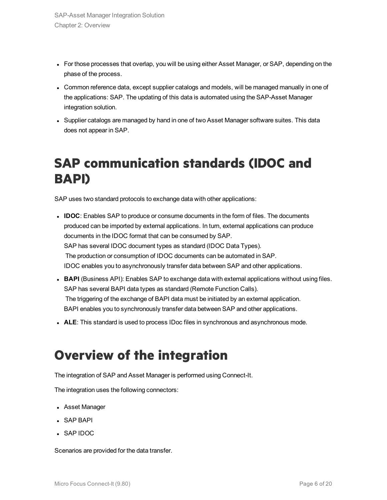- For those processes that overlap, you will be using either Asset Manager, or SAP, depending on the phase of the process.
- Common reference data, except supplier catalogs and models, will be managed manually in one of the applications: SAP. The updating of this data is automated using the SAP-Asset Manager integration solution.
- Supplier catalogs are managed by hand in one of two Asset Manager software suites. This data does not appear in SAP.

### <span id="page-5-0"></span>**SAP communication standards (IDOC and BAPI)**

SAP uses two standard protocols to exchange data with other applications:

- **IDOC**: Enables SAP to produce or consume documents in the form of files. The documents produced can be imported by external applications. In turn, external applications can produce documents in the IDOC format that can be consumed by SAP. SAP has several IDOC document types as standard (IDOC Data Types). The production or consumption of IDOC documents can be automated in SAP. IDOC enables you to asynchronously transfer data between SAP and other applications.
- **BAPI** (Business API): Enables SAP to exchange data with external applications without using files. SAP has several BAPI data types as standard (Remote Function Calls). The triggering of the exchange of BAPI data must be initiated by an external application. BAPI enables you to synchronously transfer data between SAP and other applications.
- **ALE**: This standard is used to process IDoc files in synchronous and asynchronous mode.

### <span id="page-5-1"></span>**Overview of the integration**

The integration of SAP and Asset Manager is performed using Connect-It.

The integration uses the following connectors:

- Asset Manager
- SAP BAPI
- <sup>l</sup> SAP IDOC

Scenarios are provided for the data transfer.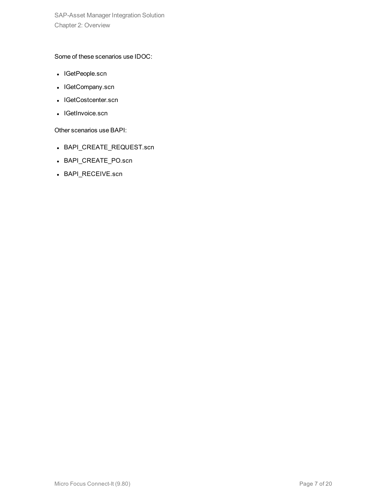SAP-Asset Manager Integration Solution Chapter 2: Overview

Some of these scenarios use IDOC:

- IGetPeople.scn
- IGetCompany.scn
- IGetCostcenter.scn
- IGetInvoice.scn

Other scenarios use BAPI:

- BAPI\_CREATE\_REQUEST.scn
- BAPI\_CREATE\_PO.scn
- BAPI\_RECEIVE.scn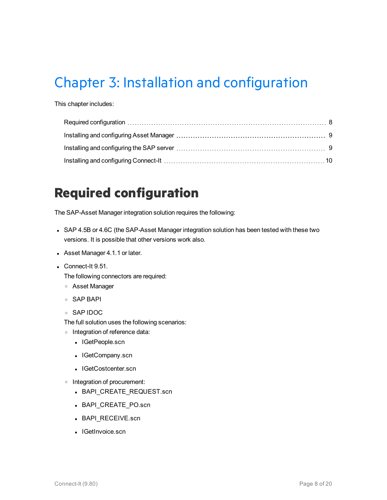# <span id="page-7-0"></span>Chapter 3: Installation and configuration

This chapter includes:

### <span id="page-7-1"></span>**Required configuration**

The SAP-Asset Manager integration solution requires the following:

- SAP 4.5B or 4.6C (the SAP-Asset Manager integration solution has been tested with these two versions. It is possible that other versions work also.
- Asset Manager 4.1.1 or later.
- $\bullet$  Connect-It 9.51.

The following connectors are required:

- <sup>o</sup> Asset Manager
- <sup>o</sup> SAP BAPI
- <sup>o</sup> SAP IDOC

The full solution uses the following scenarios:

- <sup>o</sup> Integration of reference data:
	- IGetPeople.scn
	- IGetCompany.scn
	- IGetCostcenter.scn
- <sup>o</sup> Integration of procurement:
	- BAPI\_CREATE\_REQUEST.scn
	- BAPI\_CREATE\_PO.scn
	- BAPI\_RECEIVE.scn
	- IGetInvoice.scn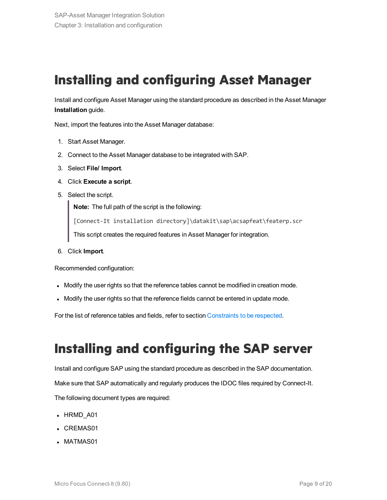### <span id="page-8-0"></span>**Installing and configuring Asset Manager**

Install and configure Asset Manager using the standard procedure as described in the Asset Manager **Installation** guide.

Next, import the features into the Asset Manager database:

- 1. Start Asset Manager.
- 2. Connect to the Asset Manager database to be integrated with SAP.
- 3. Select **File/ Import**.
- 4. Click **Execute a script**.
- 5. Select the script.

**Note:** The full path of the script is the following:

[Connect-It installation directory]\datakit\sap\acsapfeat\featerp.scr

This script creates the required features in Asset Manager for integration.

6. Click **Import**.

Recommended configuration:

- Modify the user rights so that the reference tables cannot be modified in creation mode.
- Modify the user rights so that the reference fields cannot be entered in update mode.

For the list of reference tables and fields, refer to section [Constraints](#page-11-1) to be respected.

### <span id="page-8-1"></span>**Installing and configuring the SAP server**

Install and configure SAP using the standard procedure as described in the SAP documentation. Make sure that SAP automatically and regularly produces the IDOC files required by Connect-It. The following document types are required:

- HRMD A01
- CREMAS01
- MATMAS01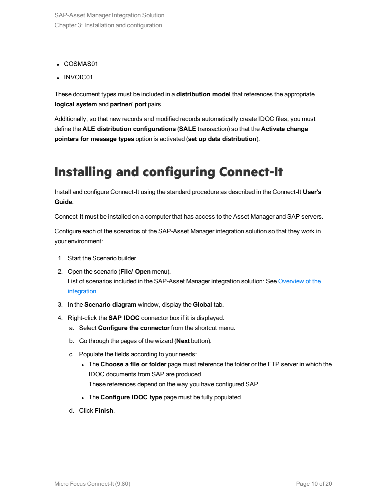- COSMAS01
- INVOIC01

These document types must be included in a **distribution model** that references the appropriate **logical system** and **partner/ port** pairs.

Additionally, so that new records and modified records automatically create IDOC files, you must define the **ALE distribution configurations** (**SALE** transaction) so that the **Activate change pointers for message types** option is activated (**set up data distribution**).

### <span id="page-9-0"></span>**Installing and configuring Connect-It**

Install and configure Connect-It using the standard procedure as described in the Connect-It **User's Guide**.

Connect-It must be installed on a computer that has access to the Asset Manager and SAP servers.

Configure each of the scenarios of the SAP-Asset Manager integration solution so that they work in your environment:

- 1. Start the Scenario builder.
- 2. Open the scenario (**File/ Open** menu). List of scenarios included in the SAP-Asset Manager integration solution: See [Overview](#page-5-1) of the [integration](#page-5-1)
- 3. In the **Scenario diagram** window, display the **Global** tab.
- 4. Right-click the **SAP IDOC** connector box if it is displayed.
	- a. Select **Configure the connector** from the shortcut menu.
	- b. Go through the pages of the wizard (**Next** button).
	- c. Populate the fields according to your needs:
		- <sup>l</sup> The **Choose a file or folder** page must reference the folder or the FTP server in which the IDOC documents from SAP are produced. These references depend on the way you have configured SAP.
		- <sup>l</sup> The **Configure IDOC type** page must be fully populated.
	- d. Click **Finish**.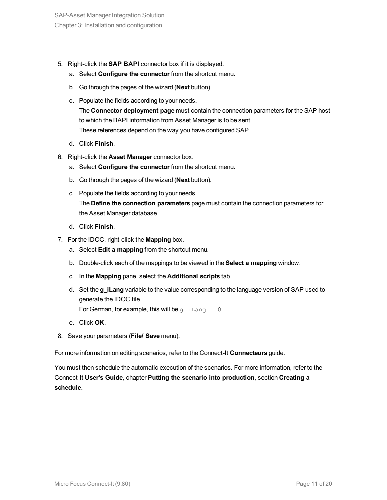- 5. Right-click the **SAP BAPI** connector box if it is displayed.
	- a. Select **Configure the connector** from the shortcut menu.
	- b. Go through the pages of the wizard (**Next** button).
	- c. Populate the fields according to your needs. The **Connector deployment page** must contain the connection parameters for the SAP host to which the BAPI information from Asset Manager is to be sent. These references depend on the way you have configured SAP.
	- d. Click **Finish**.
- 6. Right-click the **Asset Manager** connector box.
	- a. Select **Configure the connector** from the shortcut menu.
	- b. Go through the pages of the wizard (**Next** button).
	- c. Populate the fields according to your needs. The **Define the connection parameters** page must contain the connection parameters for the Asset Manager database.
	- d. Click **Finish**.
- 7. For the IDOC, right-click the **Mapping** box.
	- a. Select **Edit a mapping** from the shortcut menu.
	- b. Double-click each of the mappings to be viewed in the **Select a mapping** window.
	- c. In the **Mapping** pane, select the **Additional scripts** tab.
	- d. Set the **g\_iLang** variable to the value corresponding to the language version of SAP used to generate the IDOC file.

For German, for example, this will be g iLang =  $0$ .

- e. Click **OK**.
- 8. Save your parameters (**File/ Save** menu).

For more information on editing scenarios, refer to the Connect-It **Connecteurs** guide.

You must then schedule the automatic execution of the scenarios. For more information, refer to the Connect-It **User's Guide**, chapter **Putting the scenario into production**, section **Creating a schedule**.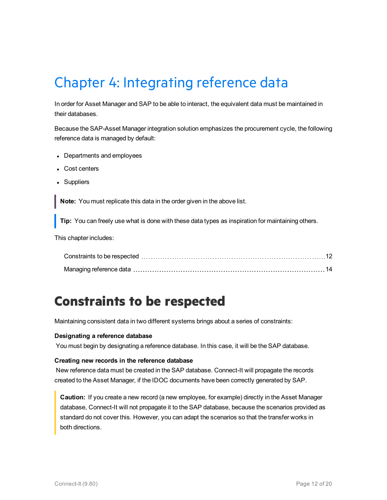# <span id="page-11-0"></span>Chapter 4: Integrating reference data

In order for Asset Manager and SAP to be able to interact, the equivalent data must be maintained in their databases.

Because the SAP-Asset Manager integration solution emphasizes the procurement cycle, the following reference data is managed by default:

- Departments and employees
- Cost centers
- Suppliers

**Note:** You must replicate this data in the order given in the above list.

**Tip:** You can freely use what is done with these data types as inspiration for maintaining others.

This chapter includes:

### <span id="page-11-1"></span>**Constraints to be respected**

Maintaining consistent data in two different systems brings about a series of constraints:

#### **Designating a reference database**

You must begin by designating a reference database. In this case, it will be the SAP database.

#### **Creating new records in the reference database**

New reference data must be created in the SAP database. Connect-It will propagate the records created to the Asset Manager, if the IDOC documents have been correctly generated by SAP.

**Caution:** If you create a new record (a new employee, for example) directly in the Asset Manager database, Connect-It will not propagate it to the SAP database, because the scenarios provided as standard do not cover this. However, you can adapt the scenarios so that the transfer works in both directions.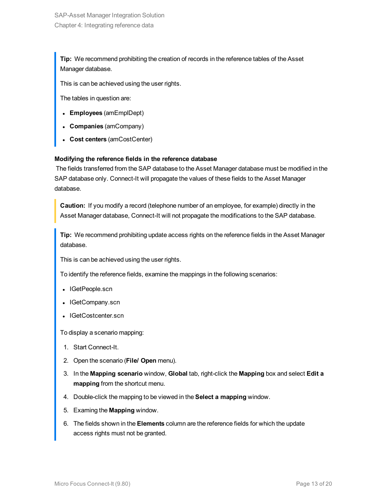**Tip:** We recommend prohibiting the creation of records in the reference tables of the Asset Manager database.

This is can be achieved using the user rights.

The tables in question are:

- <sup>l</sup> **Employees** (amEmplDept)
- <sup>l</sup> **Companies** (amCompany)
- <sup>l</sup> **Cost centers** (amCostCenter)

#### **Modifying the reference fields in the reference database**

The fields transferred from the SAP database to the Asset Manager database must be modified in the SAP database only. Connect-It will propagate the values of these fields to the Asset Manager database.

**Caution:** If you modify a record (telephone number of an employee, for example) directly in the Asset Manager database, Connect-It will not propagate the modifications to the SAP database.

**Tip:** We recommend prohibiting update access rights on the reference fields in the Asset Manager database.

This is can be achieved using the user rights.

To identify the reference fields, examine the mappings in the following scenarios:

- IGetPeople.scn
- IGetCompany.scn
- IGetCostcenter.scn

To display a scenario mapping:

- 1. Start Connect-It.
- 2. Open the scenario (**File/ Open** menu).
- 3. In the **Mapping scenario** window, **Global** tab, right-click the **Mapping** box and select **Edit a mapping** from the shortcut menu.
- 4. Double-click the mapping to be viewed in the **Select a mapping** window.
- 5. Examing the **Mapping** window.
- 6. The fields shown in the **Elements** column are the reference fields for which the update access rights must not be granted.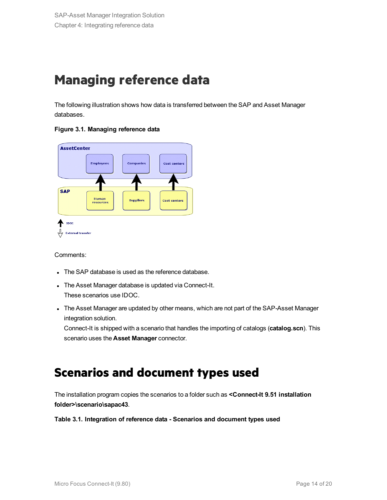### <span id="page-13-0"></span>**Managing reference data**

The following illustration shows how data is transferred between the SAP and Asset Manager databases.





Comments:

- The SAP database is used as the reference database.
- The Asset Manager database is updated via Connect-It. These scenarios use IDOC.
- The Asset Manager are updated by other means, which are not part of the SAP-Asset Manager integration solution.

<span id="page-13-1"></span>Connect-It is shipped with a scenario that handles the importing of catalogs (**catalog.scn**). This scenario uses the **Asset Manager** connector.

### **Scenarios and document types used**

The installation program copies the scenarios to a folder such as **<Connect-It 9.51 installation folder>\scenario\sapac43**.

**Table 3.1. Integration of reference data - Scenarios and document types used**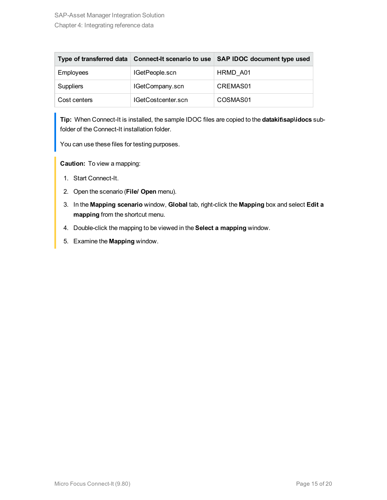|                  | Type of transferred data   Connect-It scenario to use | <b>SAP IDOC document type used</b> |
|------------------|-------------------------------------------------------|------------------------------------|
| <b>Employees</b> | IGetPeople.scn                                        | HRMD A01                           |
| <b>Suppliers</b> | IGetCompany.scn                                       | CREMAS01                           |
| Cost centers     | IGetCostcenter.scn                                    | COSMAS01                           |

**Tip:** When Connect-It is installed, the sample IDOC files are copied to the **datakit\sap\idocs** subfolder of the Connect-It installation folder.

You can use these files for testing purposes.

**Caution:** To view a mapping:

- 1. Start Connect-It.
- 2. Open the scenario (**File/ Open** menu).
- 3. In the **Mapping scenario** window, **Global** tab, right-click the **Mapping** box and select **Edit a mapping** from the shortcut menu.
- 4. Double-click the mapping to be viewed in the **Select a mapping** window.
- 5. Examine the **Mapping** window.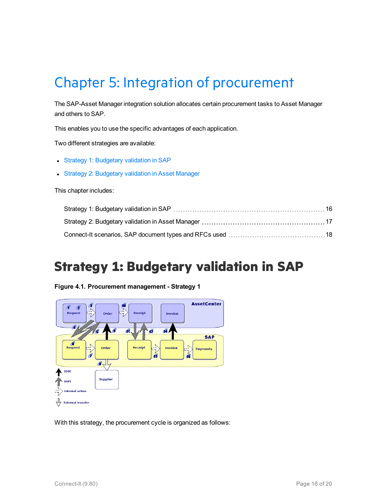# <span id="page-15-0"></span>Chapter 5: Integration of procurement

The SAP-Asset Manager integration solution allocates certain procurement tasks to Asset Manager and others to SAP.

This enables you to use the specific advantages of each application.

Two different strategies are available:

- Strategy 1: [Budgetary](#page-15-1) validation in SAP
- Strategy 2: [Budgetary](#page-16-0) validation in Asset Manager

This chapter includes:

### <span id="page-15-1"></span>**Strategy 1: Budgetary validation in SAP**

**Figure 4.1. Procurement management - Strategy 1**



With this strategy, the procurement cycle is organized as follows: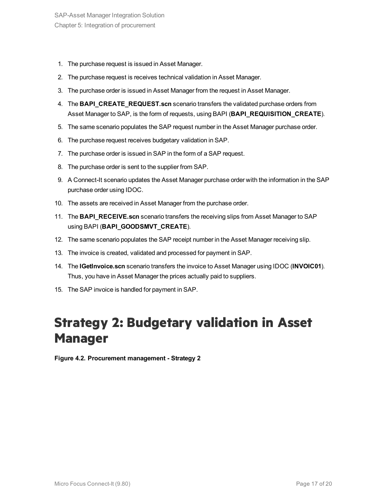- 1. The purchase request is issued in Asset Manager.
- 2. The purchase request is receives technical validation in Asset Manager.
- 3. The purchase order is issued in Asset Manager from the request in Asset Manager.
- 4. The **BAPI\_CREATE\_REQUEST.scn** scenario transfers the validated purchase orders from Asset Manager to SAP, is the form of requests, using BAPI (**BAPI\_REQUISITION\_CREATE**).
- 5. The same scenario populates the SAP request number in the Asset Manager purchase order.
- 6. The purchase request receives budgetary validation in SAP.
- 7. The purchase order is issued in SAP in the form of a SAP request.
- 8. The purchase order is sent to the supplier from SAP.
- 9. A Connect-It scenario updates the Asset Manager purchase order with the information in the SAP purchase order using IDOC.
- 10. The assets are received in Asset Manager from the purchase order.
- 11. The **BAPI RECEIVE.scn** scenario transfers the receiving slips from Asset Manager to SAP using BAPI (**BAPI\_GOODSMVT\_CREATE**).
- 12. The same scenario populates the SAP receipt number in the Asset Manager receiving slip.
- 13. The invoice is created, validated and processed for payment in SAP.
- 14. The **IGetInvoice.scn** scenario transfers the invoice to Asset Manager using IDOC (**INVOIC01**). Thus, you have in Asset Manager the prices actually paid to suppliers.
- 15. The SAP invoice is handled for payment in SAP.

### <span id="page-16-0"></span>**Strategy 2: Budgetary validation in Asset Manager**

**Figure 4.2. Procurement management - Strategy 2**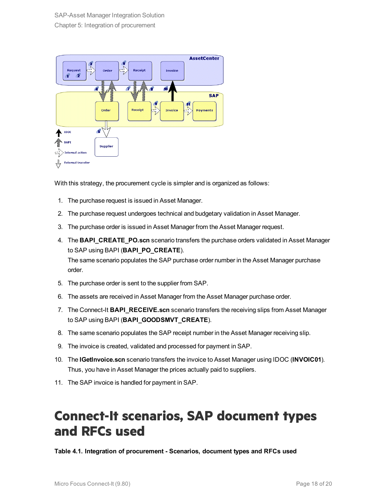

With this strategy, the procurement cycle is simpler and is organized as follows:

- 1. The purchase request is issued in Asset Manager.
- 2. The purchase request undergoes technical and budgetary validation in Asset Manager.
- 3. The purchase order is issued in Asset Manager from the Asset Manager request.
- 4. The **BAPI\_CREATE\_PO.scn** scenario transfers the purchase orders validated in Asset Manager to SAP using BAPI (**BAPI\_PO\_CREATE**). The same scenario populates the SAP purchase order number in the Asset Manager purchase order.
- 5. The purchase order is sent to the supplier from SAP.
- 6. The assets are received in Asset Manager from the Asset Manager purchase order.
- 7. The Connect-It **BAPI RECEIVE.scn** scenario transfers the receiving slips from Asset Manager to SAP using BAPI (**BAPI\_GOODSMVT\_CREATE**).
- 8. The same scenario populates the SAP receipt number in the Asset Manager receiving slip.
- 9. The invoice is created, validated and processed for payment in SAP.
- 10. The **IGetInvoice.scn** scenario transfers the invoice to Asset Manager using IDOC (**INVOIC01**). Thus, you have in Asset Manager the prices actually paid to suppliers.
- 11. The SAP invoice is handled for payment in SAP.

### <span id="page-17-0"></span>**Connect-It scenarios, SAP document types and RFCs used**

**Table 4.1. Integration of procurement - Scenarios, document types and RFCs used**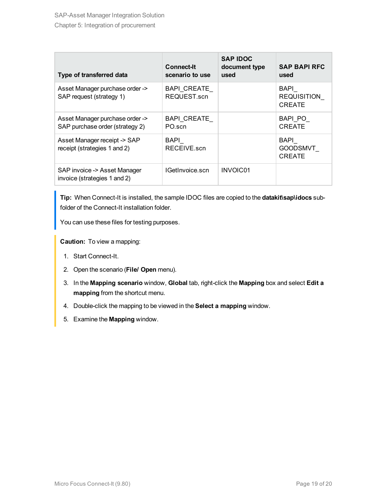| Type of transferred data                                           | <b>Connect-It</b><br>scenario to use | <b>SAP IDOC</b><br>document type<br>used | <b>SAP BAPI RFC</b><br>used                 |
|--------------------------------------------------------------------|--------------------------------------|------------------------------------------|---------------------------------------------|
| Asset Manager purchase order -><br>SAP request (strategy 1)        | BAPI CREATE<br>REQUEST.scn           |                                          | BAPI<br><b>REQUISITION</b><br><b>CREATE</b> |
| Asset Manager purchase order -><br>SAP purchase order (strategy 2) | BAPI CREATE<br>PO scn                |                                          | BAPI PO<br><b>CREATE</b>                    |
| Asset Manager receipt -> SAP<br>receipt (strategies 1 and 2)       | BAPI<br>RECEIVE scn                  |                                          | BAPI<br>GOODSMVT<br><b>CREATE</b>           |
| SAP invoice -> Asset Manager<br>invoice (strategies 1 and 2)       | IGetInvoice.scn                      | INVOIC01                                 |                                             |

**Tip:** When Connect-It is installed, the sample IDOC files are copied to the **datakit\sap\idocs** subfolder of the Connect-It installation folder.

You can use these files for testing purposes.

**Caution:** To view a mapping:

- 1. Start Connect-It.
- 2. Open the scenario (**File/ Open** menu).
- 3. In the **Mapping scenario** window, **Global** tab, right-click the **Mapping** box and select **Edit a mapping** from the shortcut menu.
- 4. Double-click the mapping to be viewed in the **Select a mapping** window.
- 5. Examine the **Mapping** window.